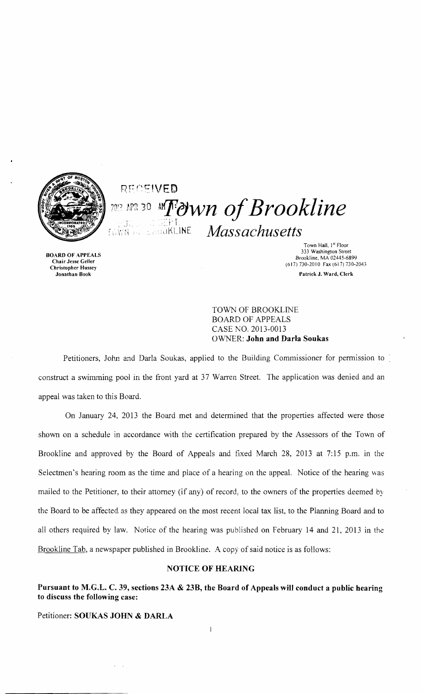

## .. ) .  $\frac{1000 \text{ N}}{1000 \text{ N}}$  .  $\frac{1000 \text{ N}}{100 \text{ N}}$  .  $Massachusetts$  $R E C E I V E D$ <sup>2013 APR 30</sup> AMT diwn of Brookline

Town Hall, 1<sup>st</sup> Floor<br>333 Washington Street BOARD OF APPEALS<br>Chair Jesse Geller and the Chair Jesse Geller and the Chair Jesse Geller and the Chair Jesse Geller and the Ch<br>Street and the Chair Jesse Geller and the Chair Jesse Geller and the Chair Jesse Geller and th  $\frac{B_{\text{TOO}}}{B_{\text{TOO}}}\text{B}_{\text{TOO}}\text{M}^2\text{A}_{\text{TOO}}\text{M}^2\text{A}_{\text{TOO}}\text{M}^2\text{A}_{\text{TOO}}\text{M}^2\text{A}_{\text{TOO}}\text{M}^2\text{A}_{\text{TOO}}\text{M}^2\text{A}_{\text{TOO}}\text{M}^2\text{A}_{\text{TOO}}\text{M}^2\text{A}_{\text{TOO}}\text{M}^2\text{A}_{\text{TOO}}\text{M}^2\text{A}_{\text{TOO}}\text{M}^2\text$ Charl Jesse Gener<br>Christopher Hussey (617) 730-2010 Fax (617) 730-2010 Fax (617) 730-2013 Jonathan Book Patrick J. Ward. Clerk

> TOWN OF BROOKLINE BOARD OF APPEALS CASE NO. 2013-0013 O\VNER: John and Darla Soukas

Petitioners, John and Darla Soukas, applied to the Building Commissioner for permission to construct a swimming pool in the front yard at 37 Warren Street. The application was denied and an appeal was taken to this Board.

On January 24, 2013 the Board met and determined that the properties affected were those shown on a schedule in accordance with the certification prepared by the Assessors of the Town of Brookline and approved by the Board of Appeals and fixed March 28, 2013 at 7:15 p.m. in the Selectmen's hearing room as the time and place of a hearing on the appeal. Notice of the hearing was mailed to the Petitioner, to their attorney (if any) of record, to the owners of the properties deemed by the Board to be affected as they appeared on the most recent local tax list, to the Planning Board and to all others required by law. Notice of the hearing was published on February 14 and 21, 2013 in the Brookline Tab, a newspaper published in Brookline. A copy of said notice is as follows:

## NOTICE OF HEARING

Pursuant to M.G.L. C. 39, sections 23A & 23B, the Board of Appeals will conduct a public hearing to discuss the following case:

Petitioner: SOUKAS JOHN & DARLA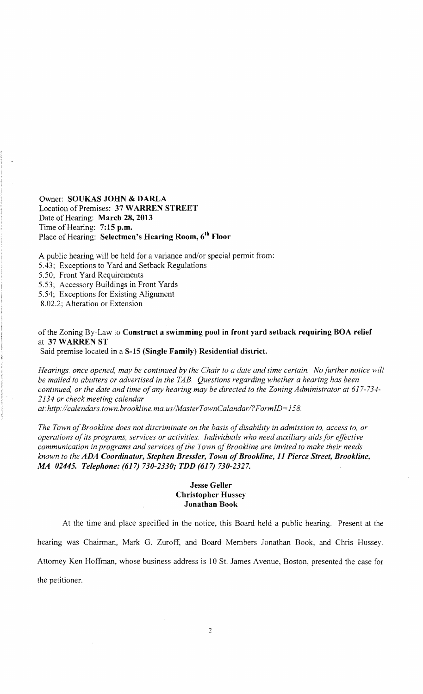Owner: SOUKAS JOHN & DARLA Location of Premises: 37 WARREN STREET Date of Hearing: March 28, 2013 Time of Hearing: 7:15 p.m. Place of Hearing: Selectmen's Hearing Room, 6<sup>th</sup> Floor

A public hearing will be held for a variance and/or special permit from:

5.43; Exceptions to Yard and Setback Regulations

5.50; Front Yard Requirements

5.53; Accessory Buildings in Front Yards

5.54; Exceptions for Existing Alignment

8.02.2; Alteration or Extension

of the Zoning By-Law to Construct a swimming pool in front yard setback requiring BOA relief at 37 WARREN ST

Said premise located in a S-15 (Single Family) Residential district.

*Hearings. once opened, may be continued by the Chair to a date and time certain. No further notice will be mailed to abutters or advertised in the TAB. Questions regarding whether a hearing has been continued, or the date and time ofany hearing may be directed to the Zoning Administrator at 617-734 2134 or check meeting calendar at:http://calendars.town.brookline.ma.usIMasterTownCalandarI?FormID=158.* 

The Town of Brookline does not discriminate on the basis of disability in admission to, access to, or *operations ofits programs, services or activities. Individuals who need auxiliary aids for effective communication in programs and services of the Town of Brookline are invited to make their needs* known to the ADA Coordinator, Stephen Bressler, Town of Brookline, 11 Pierce Street, Brookline, *MA 02445. Telephone:* (617) *730-2330; TDD* (617) *730-2327.* 

## Jesse Geller Christopher Hussey Jonathan Book

At the time and place specified in the notice, this Board held a public hearing. Present at the hearing was Chairman, Mark G. Zuroff, and Board Members Jonathan Book, and Chris Hussey. Attorney Ken Hoffman, whose business address is 10 St. James Avenue, Boston, presented the case for the petitioner.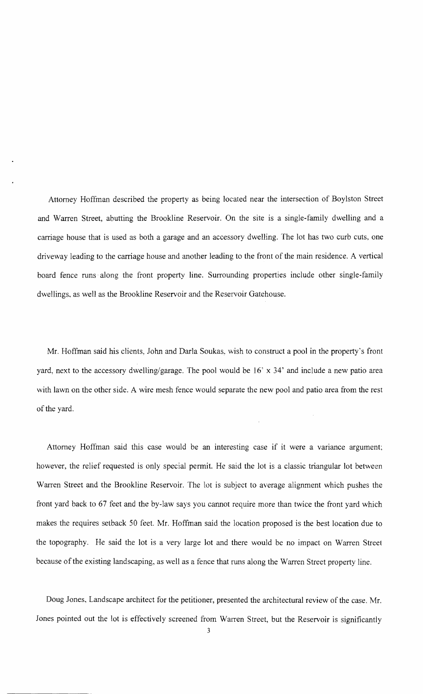Attorney Hoffman described the property as being located near the intersection of Boylston Street and Warren Street, abutting the Brookline Reservoir. On the site is a single-family dwelling and a carriage house that is used as both a garage and an accessory dwelling. The lot has two curb cuts, one driveway leading to the carriage house and another leading to the front of the main residence. A vertical board fence runs along the front property line. Surrounding properties include other single-family dwellings, as well as the Brookline Reservoir and the Reservoir Gatehouse.

Mr. Hoffman said his clients, John and Darla Soukas, wish to construct a pool in the property's front yard, next to the accessory dwelling/garage. The pool would be 16' x 34' and include a new patio area with lawn on the other side. A wire mesh fence would separate the new pool and patio area from the rest of the yard.

Attorney Hoffman said this case would be an interesting case if it were a variance argument; however, the relief requested is only special permit. He said the lot is a classic triangular lot between Warren Street and the Brookline Reservoir. The lot is subject to average alignment which pushes the front yard back to 67 feet and the by-law says you cannot require more than twice the front yard which makes the requires setback 50 feet. Mr. Hoffman said the location proposed is the best location due to the topography. He said the lot is a very large lot and there would be no impact on Warren Street because of the existing landscaping, as well as a fence that runs along the Warren Street property line.

Doug Jones, Landscape architect for the petitioner, presented the architectural review of the case. Mr. Jones pointed out the lot is effectively screened from Warren Street, but the Reservoir is significantly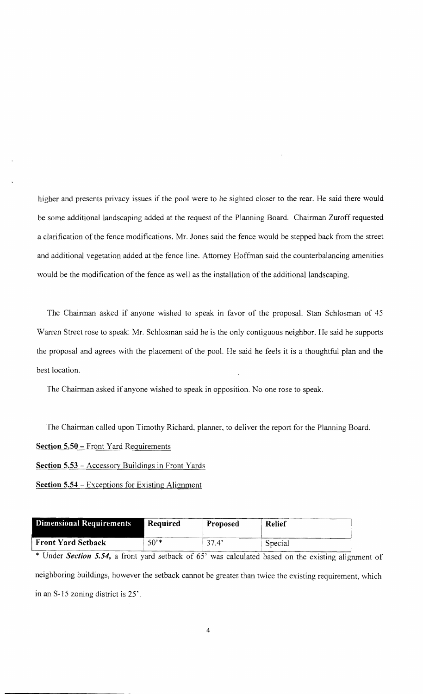higher and presents privacy issues if the pool were to be sighted closer to the rear. He said there would be some additional landscaping added at the request of the Planning Board. Chairman Zuroff requested a clarification of the fence modifications. Mr. Jones said the fence would be stepped back from the street and additional vegetation added at the fence line. Attorney Hoffman said the counterbalancing amenities would be the modification of the fence as well as the installation of the additional landscaping.

The Chairman asked if anyone wished to speak in favor of the proposal. Stan Schlosman of 45 Warren Street rose to speak. Mr. Schlosman said he is the only contiguous neighbor. He said he supports the proposal and agrees with the placement of the pooL He said he feels it is a thoughtful plan and the best location.

The Chairman asked if anyone wished to speak in opposition. No one rose to speak.

The Chairman called upon Timothy Richard, planner, to deliver the report for the Planning Board.

**Section 5.50** - Front Yard Requirements

**Section 5.53** - Accessory Buildings in Front Yards

**Section 5.54** - Exceptions for Existing Alignment

| Dimensional Requirements  | <b>Required</b> | <b>Proposed</b> | <b>Relief</b> |
|---------------------------|-----------------|-----------------|---------------|
| <b>Front Yard Setback</b> | $50^{**}$       | $-37.4'$        | Special       |

\* Under *Section* **5.54,** a front yard setback of 65' was calculated based on the existing alignment of neighboring buildings, however the setback cannot be greater than twice the existing requirement, which in an S-15 zoning district is 25'.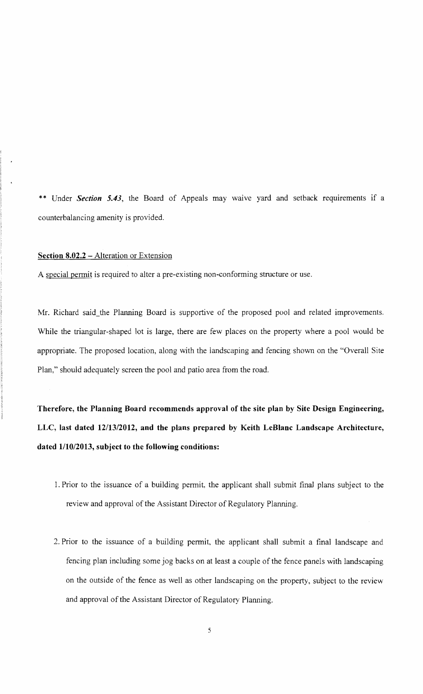\*\* Under *Section* 5.43, the Board of Appeals may waive yard and setback requirements if a counterbalancing amenity is provided.

## Section 8.02.2 – Alteration or Extension

A special permit is required to alter a pre-existing non-conforming structure or use.

Mr. Richard said the Planning Board is supportive of the proposed pool and related improvements. While the triangular-shaped lot is large, there are few places on the property where a pool would be appropriate. The proposed location, along with the landscaping and fencing shown on the "Overall Site Plan," should adequately screen the pool and patio area from the road.

Therefore, the Planning Board recommends approval of the site plan by Site Design Engineering, LLC, last dated *12/13/2012,* and the plans prepared by Keith LeBlanc Landscape Architecture, dated  $1/10/2013$ , subject to the following conditions:

- 1. Prior to the issuance of a building permit, the applicant shall submit final plans subject to the review and approval of the Assistant Director of Regulatory Planning.
- 2. Prior to the issuance of a building permit, the applicant shall submit a final landscape and fencing plan including some jog backs on at least a couple of the fence panels with landscaping on the outside of the fence as well as other landscaping on the property, subject to the review and approval of the Assistant Director of Regulatory Planning.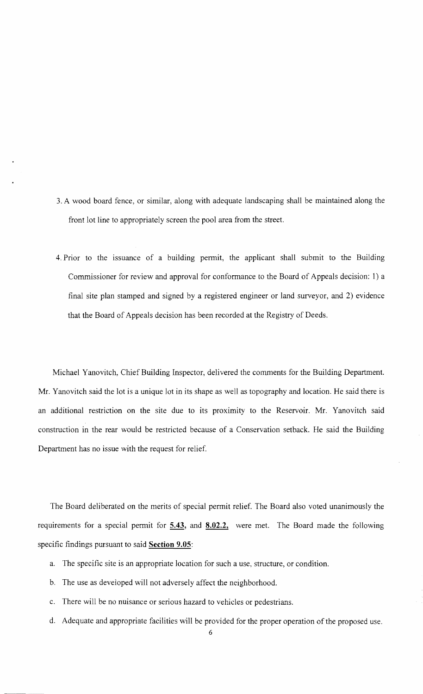- 3. A wood board fence, or similar, along with adequate landscaping shall be maintained along the front lot line to appropriately screen the pool area from the street.
- 4. Prior to the issuance of a building permit, the applicant shall submit to the Building Commissioner for review and approval for conformance to the Board of Appeals decision: 1) a final site plan stamped and signed by a registered engineer or land surveyor, and 2) evidence that the Board of Appeals decision has been recorded at the Registry of Deeds.

Michael Yanovitch, Chief Building Inspector, delivered the comments for the Building Department. Mr. Yanovitch said the lot is a unique lot in its shape as well as topography and location. He said there is an additional restriction on the site due to its proximity to the Reservoir. Mr. Yanovitch said construction in the rear would be restricted because of a Conservation setback. He said the Building Department has no issue with the request for relief.

The Board deliberated on the merits of special permit relief. The Board also voted unanimously the requirements for a special permit for **5.43, and 8.02.2,** were met. The Board made the following specific findings pursuant to said **Section 9.05:** 

- a. The specific site is an appropriate location for such a use, structure, or condition.
- b. The use as developed will not adversely affect the neighborhood.
- c. There will be no nuisance or serious hazard to vehicles or pedestrians.
- d. Adequate and appropriate facilities will be provided for the proper operation of the proposed use.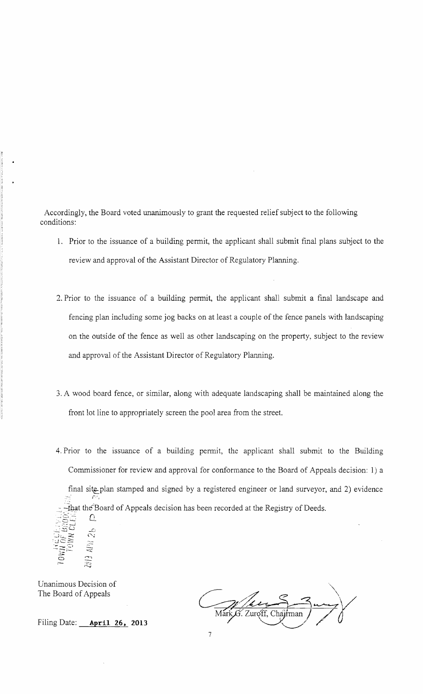Accordingly, the Board voted unanimously to grant the requested relief subject to the following conditions:

- 1. Prior to the issuance of a building permit, the applicant shall submit final plans subject to the review and approval of the Assistant Director of Regulatory Planning.
- 2. Prior to the issuance of a building permit, the applicant shall submit a final landscape and fencing plan including some jog backs on at least a couple of the fence panels with landscaping on the outside of the fence as well as other landscaping on the property, subject to the review and approval of the Assistant Director of Regulatory Planning.
- 3. A wood board fence, or similar, along with adequate landscaping shall be maintained along the front lot line to appropriately screen the pool area from the street.
- 4. Prior to the issuance of a building permit, the applicant shall submit to the Building Commissioner for review and approval for conformance to the Board of Appeals decision: 1) a final site plan stamped and signed by a registered engineer or land surveyor, and 2) evidence  $\mathcal{L}^{\mu}$ That the Board of Appeals decision has been recorded at the Registry of Deeds.

Unanimous Decision of The Board of Appeals

 $\bar{c}$ io<br>C

Filing Date: **April 26, 2013** 

 $\Omega$ 

-0  $\sim$ ;

'''\  $\frac{1}{\frac{1}{\frac{1}{\frac{1}{\sqrt{1+\frac{1}{\sqrt{1+\frac{1}{\sqrt{1+\frac{1}{\sqrt{1+\frac{1}{\sqrt{1+\frac{1}{\sqrt{1+\frac{1}{\sqrt{1+\frac{1}{\sqrt{1+\frac{1}{\sqrt{1+\frac{1}{\sqrt{1+\frac{1}{\sqrt{1+\frac{1}{\sqrt{1+\frac{1}{\sqrt{1+\frac{1}{\sqrt{1+\frac{1}{\sqrt{1+\frac{1}{\sqrt{1+\frac{1}{\sqrt{1+\frac{1}{\sqrt{1+\frac{1}{\sqrt{1+\frac{1}{\sqrt{1+\frac{1}{\sqrt{1+\frac{1}{\sqrt{1+\frac{1}{1+\$